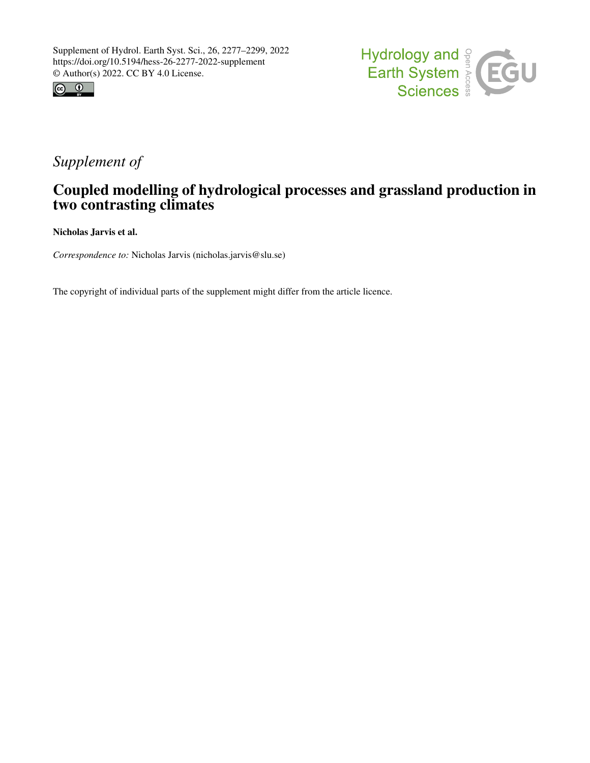



## *Supplement of*

## Coupled modelling of hydrological processes and grassland production in two contrasting climates

Nicholas Jarvis et al.

*Correspondence to:* Nicholas Jarvis (nicholas.jarvis@slu.se)

The copyright of individual parts of the supplement might differ from the article licence.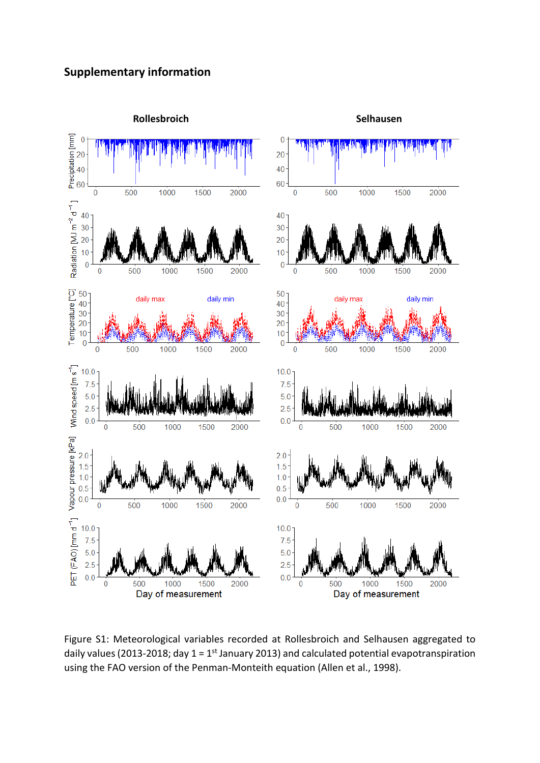## **Supplementary information**



Figure S1: Meteorological variables recorded at Rollesbroich and Selhausen aggregated to daily values (2013-2018; day  $1 = 1$ <sup>st</sup> January 2013) and calculated potential evapotranspiration using the FAO version of the Penman-Monteith equation (Allen et al., 1998).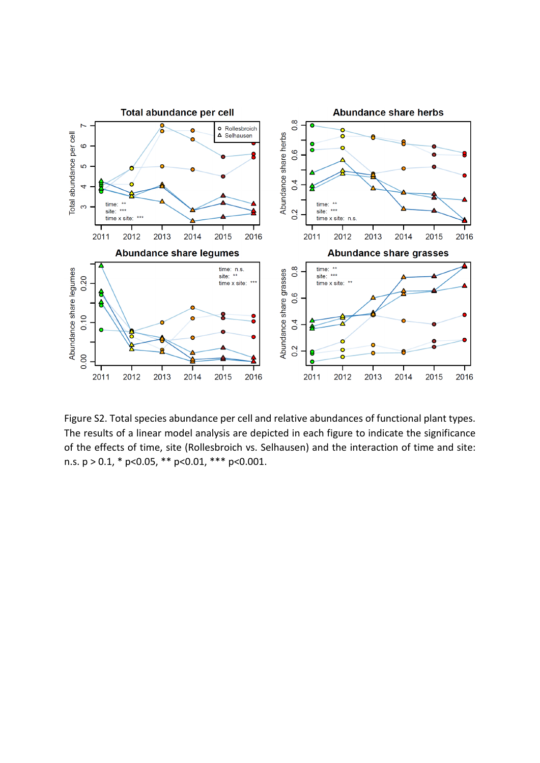

Figure S2. Total species abundance per cell and relative abundances of functional plant types. The results of a linear model analysis are depicted in each figure to indicate the significance of the effects of time, site (Rollesbroich vs. Selhausen) and the interaction of time and site: n.s.  $p > 0.1$ , \*  $p < 0.05$ , \*\*  $p < 0.01$ , \*\*\*  $p < 0.001$ .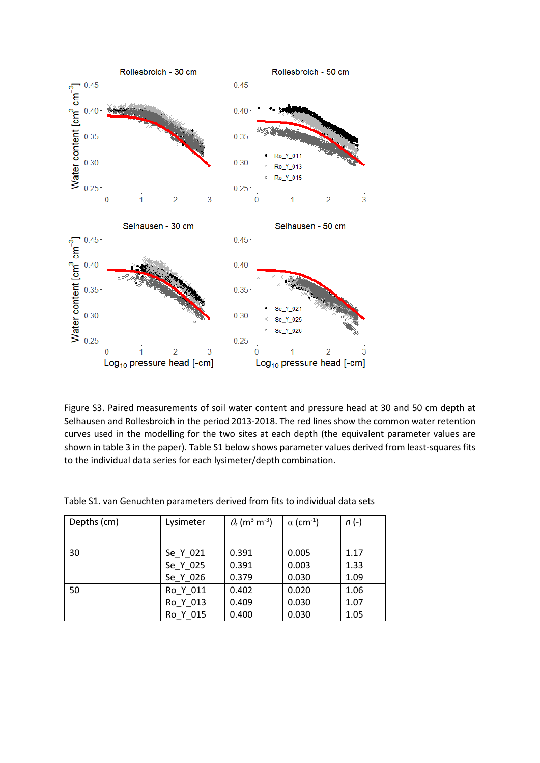

Figure S3. Paired measurements of soil water content and pressure head at 30 and 50 cm depth at Selhausen and Rollesbroich in the period 2013-2018. The red lines show the common water retention curves used in the modelling for the two sites at each depth (the equivalent parameter values are shown in table 3 in the paper). Table S1 below shows parameter values derived from least-squares fits to the individual data series for each lysimeter/depth combination.

| Depths (cm) | Lysimeter | $\theta_{\rm s}$ (m <sup>3</sup> m <sup>-3</sup> ) | $\alpha$ (cm <sup>-1</sup> ) | $n(-)$ |
|-------------|-----------|----------------------------------------------------|------------------------------|--------|
|             |           |                                                    |                              |        |
| 30          | Se_Y_021  | 0.391                                              | 0.005                        | 1.17   |
|             | Se Y 025  | 0.391                                              | 0.003                        | 1.33   |
|             | Se Y 026  | 0.379                                              | 0.030                        | 1.09   |
| 50          | Ro Y 011  | 0.402                                              | 0.020                        | 1.06   |
|             | Ro Y 013  | 0.409                                              | 0.030                        | 1.07   |
|             | Ro Y 015  | 0.400                                              | 0.030                        | 1.05   |

Table S1. van Genuchten parameters derived from fits to individual data sets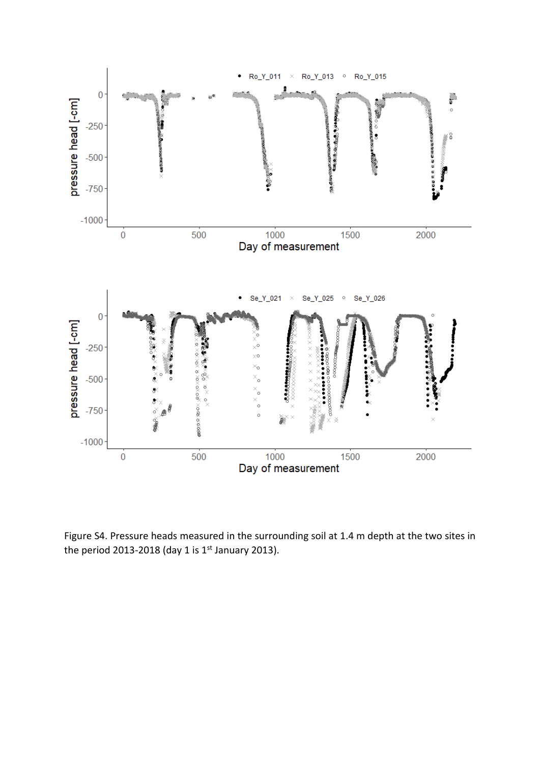

Figure S4. Pressure heads measured in the surrounding soil at 1.4 m depth at the two sites in the period 2013-2018 (day 1 is  $1<sup>st</sup>$  January 2013).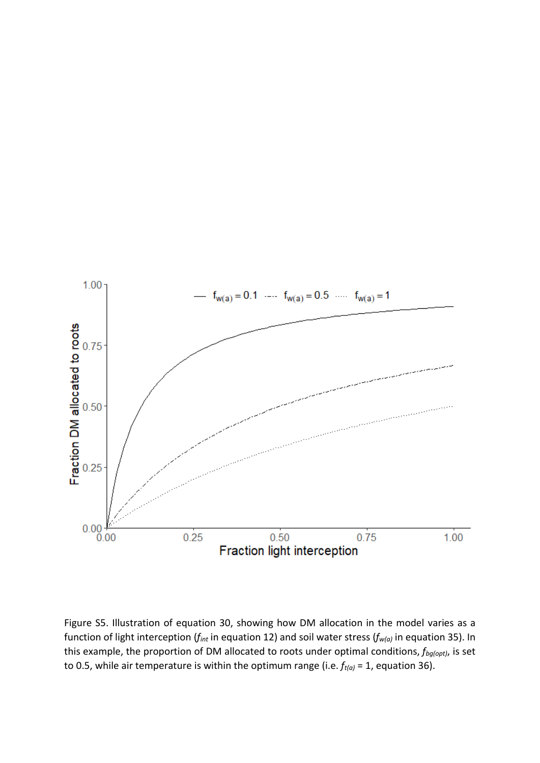

Figure S5. Illustration of equation 30, showing how DM allocation in the model varies as a function of light interception (*fint* in equation 12) and soil water stress (*fw(a)* in equation 35). In this example, the proportion of DM allocated to roots under optimal conditions, *fbg(opt)*, is set to 0.5, while air temperature is within the optimum range (i.e.  $f_{t(a)} = 1$ , equation 36).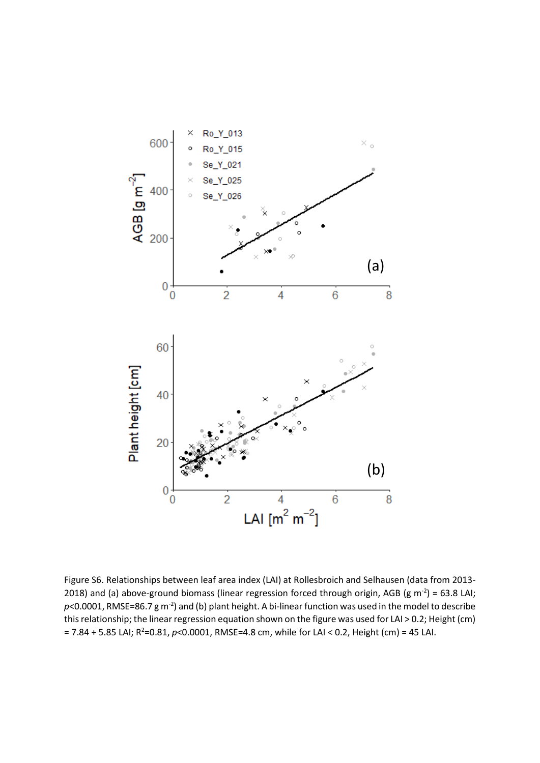

Figure S6. Relationships between leaf area index (LAI) at Rollesbroich and Selhausen (data from 2013- 2018) and (a) above-ground biomass (linear regression forced through origin, AGB (g m<sup>-2</sup>) = 63.8 LAI;  $p$ <0.0001, RMSE=86.7 g m<sup>-2</sup>) and (b) plant height. A bi-linear function was used in the model to describe this relationship; the linear regression equation shown on the figure was used for LAI > 0.2; Height (cm) = 7.84 + 5.85 LAI; R<sup>2</sup>=0.81, p<0.0001, RMSE=4.8 cm, while for LAI < 0.2, Height (cm) = 45 LAI.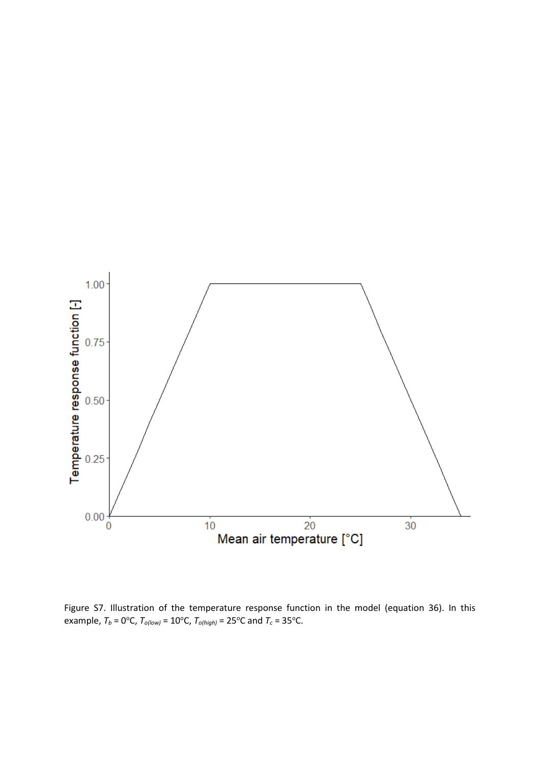

Figure S7. Illustration of the temperature response function in the model (equation 36). In this example,  $T_b = 0$ <sup>o</sup>C,  $T_{o(low)} = 10$ <sup>o</sup>C,  $T_{o(high)} = 25$ <sup>o</sup>C and  $T_c = 35$ <sup>o</sup>C.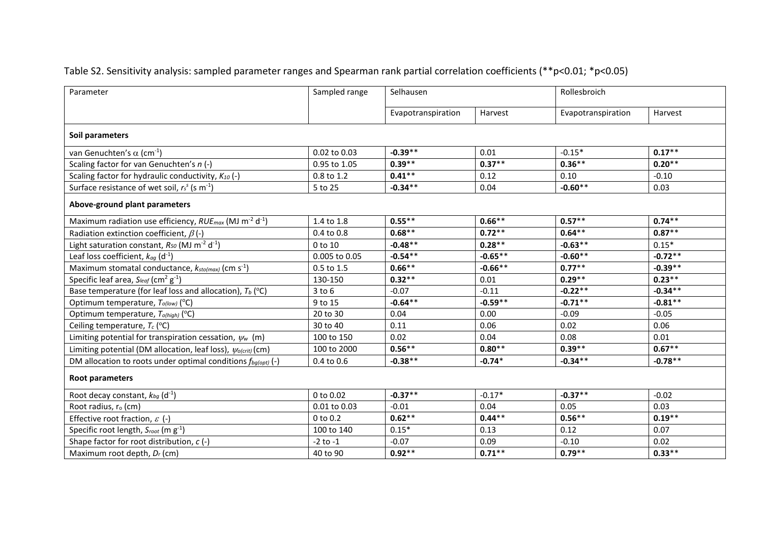## Table S2. Sensitivity analysis: sampled parameter ranges and Spearman rank partial correlation coefficients (\*\*p<0.01; \*p<0.05)

| Parameter                                                                           | Sampled range  | Selhausen          |           | Rollesbroich       |           |  |  |  |
|-------------------------------------------------------------------------------------|----------------|--------------------|-----------|--------------------|-----------|--|--|--|
|                                                                                     |                | Evapotranspiration | Harvest   | Evapotranspiration | Harvest   |  |  |  |
| Soil parameters                                                                     |                |                    |           |                    |           |  |  |  |
| van Genuchten's $\alpha$ (cm <sup>-1</sup> )                                        | 0.02 to 0.03   | $-0.39**$          | 0.01      | $-0.15*$           | $0.17***$ |  |  |  |
| Scaling factor for van Genuchten's n (-)                                            | 0.95 to 1.05   | $0.39**$           | $0.37**$  | $0.36**$           | $0.20**$  |  |  |  |
| Scaling factor for hydraulic conductivity, $K_{10}$ (-)                             | 0.8 to 1.2     | $0.41***$          | 0.12      | 0.10               | $-0.10$   |  |  |  |
| Surface resistance of wet soil, $r_s^s$ (s m <sup>-1</sup> )                        | 5 to 25        | $-0.34**$          | 0.04      | $-0.60**$          | 0.03      |  |  |  |
| Above-ground plant parameters                                                       |                |                    |           |                    |           |  |  |  |
| Maximum radiation use efficiency, $RUE_{max}$ (MJ m <sup>-2</sup> d <sup>-1</sup> ) | 1.4 to 1.8     | $0.55***$          | $0.66**$  | $0.57**$           | $0.74***$ |  |  |  |
| Radiation extinction coefficient, $\beta$ (-)                                       | 0.4 to 0.8     | $0.68***$          | $0.72**$  | $0.64**$           | $0.87**$  |  |  |  |
| Light saturation constant, $R_{50}$ (MJ m <sup>-2</sup> d <sup>-1</sup> )           | 0 to 10        | $-0.48**$          | $0.28**$  | $-0.63**$          | $0.15*$   |  |  |  |
| Leaf loss coefficient, $k_{ag}$ (d <sup>-1</sup> )                                  | 0.005 to 0.05  | $-0.54**$          | $-0.65**$ | $-0.60**$          | $-0.72**$ |  |  |  |
| Maximum stomatal conductance, $k_{sto(max)}$ (cm s <sup>-1</sup> )                  | $0.5$ to $1.5$ | $0.66***$          | $-0.66**$ | $0.77**$           | $-0.39**$ |  |  |  |
| Specific leaf area, $S_{leaf}$ (cm <sup>2</sup> g <sup>-1</sup> )                   | 130-150        | $0.32**$           | 0.01      | $0.29**$           | $0.23***$ |  |  |  |
| Base temperature (for leaf loss and allocation), $T_b$ (°C)                         | $3$ to $6$     | $-0.07$            | $-0.11$   | $-0.22**$          | $-0.34**$ |  |  |  |
| Optimum temperature, $T_{o(low)}$ (°C)                                              | 9 to 15        | $-0.64***$         | $-0.59**$ | $-0.71**$          | $-0.81**$ |  |  |  |
| Optimum temperature, $T_{o(high)}$ (°C)                                             | 20 to 30       | 0.04               | 0.00      | $-0.09$            | $-0.05$   |  |  |  |
| Ceiling temperature, $T_c$ (°C)                                                     | 30 to 40       | 0.11               | 0.06      | 0.02               | 0.06      |  |  |  |
| Limiting potential for transpiration cessation, $\psi_w$ (m)                        | 100 to 150     | 0.02               | 0.04      | 0.08               | 0.01      |  |  |  |
| Limiting potential (DM allocation, leaf loss), $\psi_{o(crit)}$ (cm)                | 100 to 2000    | $0.56**$           | $0.80**$  | $0.39**$           | $0.67***$ |  |  |  |
| DM allocation to roots under optimal conditions $f_{bq(opt)}(-)$                    | 0.4 to 0.6     | $-0.38**$          | $-0.74*$  | $-0.34**$          | $-0.78**$ |  |  |  |
| Root parameters                                                                     |                |                    |           |                    |           |  |  |  |
| Root decay constant, $k_{bg}$ (d <sup>-1</sup> )                                    | 0 to 0.02      | $-0.37**$          | $-0.17*$  | $-0.37**$          | $-0.02$   |  |  |  |
| Root radius, r <sub>o</sub> (cm)                                                    | 0.01 to 0.03   | $-0.01$            | 0.04      | 0.05               | 0.03      |  |  |  |
| Effective root fraction, $\varepsilon$ (-)                                          | $0$ to $0.2$   | $0.62**$           | $0.44***$ | $0.56***$          | $0.19***$ |  |  |  |
| Specific root length, $S_{root}$ (m $g^{-1}$ )                                      | 100 to 140     | $0.15*$            | 0.13      | 0.12               | 0.07      |  |  |  |
| Shape factor for root distribution, $c$ (-)                                         | $-2$ to $-1$   | $-0.07$            | 0.09      | $-0.10$            | 0.02      |  |  |  |
| Maximum root depth, Dr (cm)                                                         | 40 to 90       | $0.92**$           | $0.71***$ | $0.79***$          | $0.33***$ |  |  |  |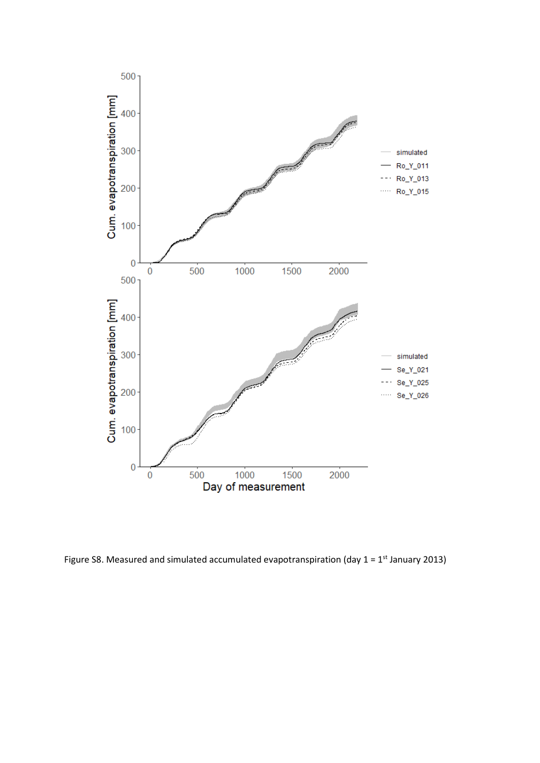

Figure S8. Measured and simulated accumulated evapotranspiration (day  $1 = 1^{st}$  January 2013)